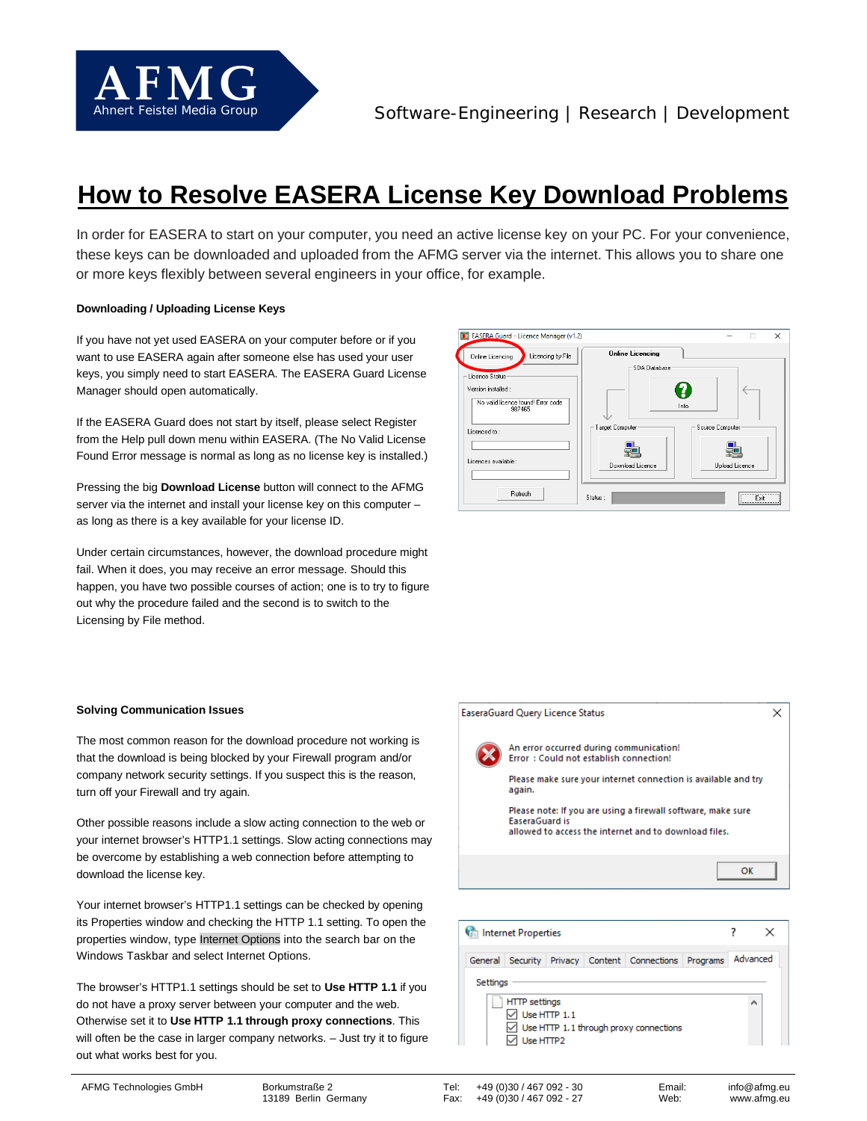

# **How to Resolve EASERA License Key Download Problems**

In order for EASERA to start on your computer, you need an active license key on your PC. For your convenience, these keys can be downloaded and uploaded from the AFMG server via the internet. This allows you to share one or more keys flexibly between several engineers in your office, for example.

## **Downloading / Uploading License Keys**

If you have not yet used EASERA on your computer before or if you want to use EASERA again after someone else has used your user keys, you simply need to start EASERA. The EASERA Guard License Manager should open automatically.

If the EASERA Guard does not start by itself, please select Register from the Help pull down menu within EASERA. (The No Valid License Found Error message is normal as long as no license key is installed.)

Pressing the big **Download License** button will connect to the AFMG server via the internet and install your license key on this computer – as long as there is a key available for your license ID.

Under certain circumstances, however, the download procedure might fail. When it does, you may receive an error message. Should this happen, you have two possible courses of action; one is to try to figure out why the procedure failed and the second is to switch to the Licensing by File method.



#### **Solving Communication Issues**

The most common reason for the download procedure not working is that the download is being blocked by your Firewall program and/or company network security settings. If you suspect this is the reason, turn off your Firewall and try again.

Other possible reasons include a slow acting connection to the web or your internet browser's HTTP1.1 settings. Slow acting connections may be overcome by establishing a web connection before attempting to download the license key.

Your internet browser's HTTP1.1 settings can be checked by opening its Properties window and checking the HTTP 1.1 setting. To open the properties window, type Internet Options into the search bar on the Windows Taskbar and select Internet Options.

The browser's HTTP1.1 settings should be set to **Use HTTP 1.1** if you do not have a proxy server between your computer and the web. Otherwise set it to **Use HTTP 1.1 through proxy connections**. This will often be the case in larger company networks. - Just try it to figure out what works best for you.

An error occurred during communication! Error: Could not establish connection! Please make sure your internet connection is available and try again. Please note: If you are using a firewall software, make sure EaseraGuard is allowed to access the internet and to download files. OK



Tel: +49 (0)30 / 467 092 - 30<br>Fax: +49 (0)30 / 467 092 - 27 Fax: +49 (0)30 / 467 092 - 27

EaseraGuard Query Licence Status

 $\times$